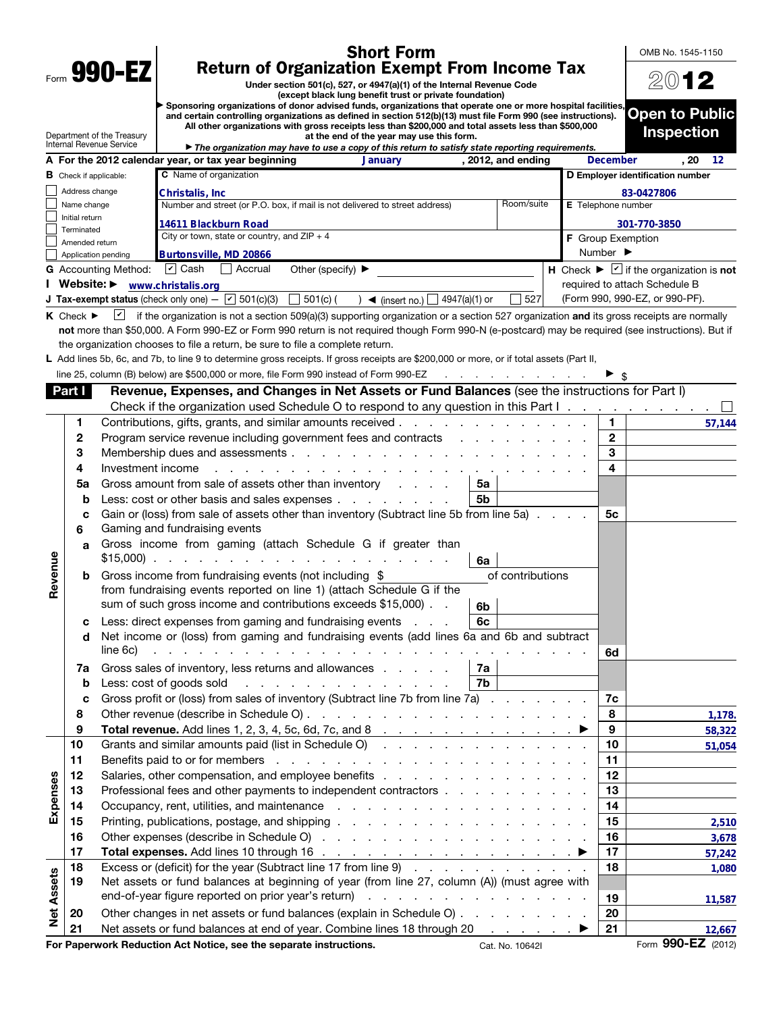|                   |                                                                                                                                              |                                 | <b>Short Form</b>                                                                                                                                                                                                                                                |                              | OMB No. 1545-1150                                                |  |  |
|-------------------|----------------------------------------------------------------------------------------------------------------------------------------------|---------------------------------|------------------------------------------------------------------------------------------------------------------------------------------------------------------------------------------------------------------------------------------------------------------|------------------------------|------------------------------------------------------------------|--|--|
|                   | Form 990-EZ<br><b>Return of Organization Exempt From Income Tax</b><br>Under section 501(c), 527, or 4947(a)(1) of the Internal Revenue Code |                                 |                                                                                                                                                                                                                                                                  |                              |                                                                  |  |  |
|                   | 2012                                                                                                                                         |                                 |                                                                                                                                                                                                                                                                  |                              |                                                                  |  |  |
|                   |                                                                                                                                              |                                 | Sponsoring organizations of donor advised funds, organizations that operate one or more hospital facilities,<br>and certain controlling organizations as defined in section 512(b)(13) must file Form 990 (see instructions).                                    |                              | <b>Open to Public</b>                                            |  |  |
|                   |                                                                                                                                              | Department of the Treasury      | All other organizations with gross receipts less than \$200,000 and total assets less than \$500,000<br>at the end of the year may use this form.                                                                                                                |                              | <b>Inspection</b>                                                |  |  |
|                   |                                                                                                                                              | <b>Internal Revenue Service</b> | The organization may have to use a copy of this return to satisfy state reporting requirements.                                                                                                                                                                  |                              |                                                                  |  |  |
|                   |                                                                                                                                              |                                 | A For the 2012 calendar year, or tax year beginning<br><b>January</b><br>, 2012, and ending<br><b>C</b> Name of organization                                                                                                                                     | <b>December</b>              | . 20<br>12                                                       |  |  |
|                   | <b>B</b> Check if applicable:<br>Address change                                                                                              |                                 |                                                                                                                                                                                                                                                                  |                              | D Employer identification number                                 |  |  |
|                   | Name change                                                                                                                                  |                                 | Christalis, Inc<br>Room/suite<br>Number and street (or P.O. box, if mail is not delivered to street address)                                                                                                                                                     | <b>E</b> Telephone number    | 83-0427806                                                       |  |  |
|                   | Initial return                                                                                                                               |                                 | 14611 Blackburn Road                                                                                                                                                                                                                                             |                              | 301-770-3850                                                     |  |  |
|                   | Terminated                                                                                                                                   |                                 | City or town, state or country, and $ZIP + 4$                                                                                                                                                                                                                    | <b>F</b> Group Exemption     |                                                                  |  |  |
|                   | Amended return                                                                                                                               | Application pending             | Burtonsville, MD 20866                                                                                                                                                                                                                                           | Number $\blacktriangleright$ |                                                                  |  |  |
|                   |                                                                                                                                              | <b>G</b> Accounting Method:     | $ v $ Cash<br>Accrual<br>Other (specify) $\blacktriangleright$                                                                                                                                                                                                   |                              | H Check $\blacktriangleright \square$ if the organization is not |  |  |
|                   |                                                                                                                                              |                                 | Website: Www.christalis.org                                                                                                                                                                                                                                      |                              | required to attach Schedule B                                    |  |  |
|                   |                                                                                                                                              |                                 | <b>J Tax-exempt status</b> (check only one) $ \boxed{\check{6}}$ 501(c)(3) $\boxed{\phantom{6}}$ 501(c) (<br>527<br>4947(a)(1) or<br>$\rightarrow$ (insert no.)                                                                                                  |                              | (Form 990, 990-EZ, or 990-PF).                                   |  |  |
|                   | $K$ Check $\blacktriangleright$                                                                                                              |                                 | if the organization is not a section 509(a)(3) supporting organization or a section 527 organization and its gross receipts are normally                                                                                                                         |                              |                                                                  |  |  |
|                   |                                                                                                                                              |                                 | not more than \$50,000. A Form 990-EZ or Form 990 return is not required though Form 990-N (e-postcard) may be required (see instructions). But if                                                                                                               |                              |                                                                  |  |  |
|                   |                                                                                                                                              |                                 | the organization chooses to file a return, be sure to file a complete return.<br>L Add lines 5b, 6c, and 7b, to line 9 to determine gross receipts. If gross receipts are \$200,000 or more, or if total assets (Part II,                                        |                              |                                                                  |  |  |
|                   |                                                                                                                                              |                                 | line 25, column (B) below) are \$500,000 or more, file Form 990 instead of Form 990-EZ<br>and a state of the contract of the                                                                                                                                     |                              |                                                                  |  |  |
|                   | Part I                                                                                                                                       |                                 | Revenue, Expenses, and Changes in Net Assets or Fund Balances (see the instructions for Part I)                                                                                                                                                                  |                              |                                                                  |  |  |
|                   |                                                                                                                                              |                                 | Check if the organization used Schedule O to respond to any question in this Part I.                                                                                                                                                                             |                              |                                                                  |  |  |
|                   | 1                                                                                                                                            |                                 |                                                                                                                                                                                                                                                                  | 1.                           | 57,144                                                           |  |  |
|                   | 2                                                                                                                                            |                                 | Program service revenue including government fees and contracts                                                                                                                                                                                                  | $\mathbf{2}$                 |                                                                  |  |  |
|                   | 3                                                                                                                                            |                                 |                                                                                                                                                                                                                                                                  | 3                            |                                                                  |  |  |
|                   | 4                                                                                                                                            | Investment income               | a construction of the construction of the construction of the construction of the construction of the construction of the construction of the construction of the construction of the construction of the construction of the                                    | 4                            |                                                                  |  |  |
|                   | 5a                                                                                                                                           |                                 | Gross amount from sale of assets other than inventory<br>5a                                                                                                                                                                                                      |                              |                                                                  |  |  |
|                   | b                                                                                                                                            |                                 | Less: cost or other basis and sales expenses<br>5b                                                                                                                                                                                                               |                              |                                                                  |  |  |
|                   | C<br>6                                                                                                                                       |                                 | Gain or (loss) from sale of assets other than inventory (Subtract line 5b from line 5a)<br>Gaming and fundraising events                                                                                                                                         | 5с                           |                                                                  |  |  |
|                   | a                                                                                                                                            |                                 | Gross income from gaming (attach Schedule G if greater than<br>6a                                                                                                                                                                                                |                              |                                                                  |  |  |
| Revenue           | b                                                                                                                                            |                                 | of contributions<br>Gross income from fundraising events (not including \$                                                                                                                                                                                       |                              |                                                                  |  |  |
|                   |                                                                                                                                              |                                 | from fundraising events reported on line 1) (attach Schedule G if the                                                                                                                                                                                            |                              |                                                                  |  |  |
|                   |                                                                                                                                              |                                 | sum of such gross income and contributions exceeds \$15,000).<br>6b                                                                                                                                                                                              |                              |                                                                  |  |  |
|                   | c<br>d                                                                                                                                       |                                 | Less: direct expenses from gaming and fundraising events<br>6c<br>Net income or (loss) from gaming and fundraising events (add lines 6a and 6b and subtract                                                                                                      |                              |                                                                  |  |  |
|                   |                                                                                                                                              | line 6c)                        |                                                                                                                                                                                                                                                                  | 6d                           |                                                                  |  |  |
|                   | 7a                                                                                                                                           |                                 | Gross sales of inventory, less returns and allowances<br>7a                                                                                                                                                                                                      |                              |                                                                  |  |  |
|                   | b                                                                                                                                            |                                 | Less: cost of goods sold<br>7b<br>and the company of the company of the company of the company of the company of the company of the company of the company of the company of the company of the company of the company of the company of the company of the comp |                              |                                                                  |  |  |
|                   | C                                                                                                                                            |                                 | Gross profit or (loss) from sales of inventory (Subtract line 7b from line 7a)                                                                                                                                                                                   | 7c                           |                                                                  |  |  |
|                   | 8                                                                                                                                            |                                 |                                                                                                                                                                                                                                                                  | 8                            | 1,178.                                                           |  |  |
|                   | 9                                                                                                                                            |                                 | Total revenue. Add lines 1, 2, 3, 4, 5c, 6d, 7c, and 8 $\ldots$ $\ldots$ $\ldots$ $\ldots$ $\ldots$ $\ldots$                                                                                                                                                     | 9                            | 58,322                                                           |  |  |
|                   | 10                                                                                                                                           |                                 | Grants and similar amounts paid (list in Schedule O)                                                                                                                                                                                                             | 10                           | 51,054                                                           |  |  |
|                   | 11                                                                                                                                           |                                 |                                                                                                                                                                                                                                                                  | 11                           |                                                                  |  |  |
| Expenses          | 12                                                                                                                                           |                                 |                                                                                                                                                                                                                                                                  | 12                           |                                                                  |  |  |
|                   | 13<br>14                                                                                                                                     |                                 | Professional fees and other payments to independent contractors                                                                                                                                                                                                  | 13<br>14                     |                                                                  |  |  |
|                   | 15                                                                                                                                           |                                 |                                                                                                                                                                                                                                                                  | 15                           | 2,510                                                            |  |  |
|                   | 16                                                                                                                                           |                                 |                                                                                                                                                                                                                                                                  | 16                           | 3,678                                                            |  |  |
|                   | 17                                                                                                                                           |                                 |                                                                                                                                                                                                                                                                  | 17                           | 57,242                                                           |  |  |
|                   | 18                                                                                                                                           |                                 | Excess or (deficit) for the year (Subtract line 17 from line 9)                                                                                                                                                                                                  | 18                           | 1,080                                                            |  |  |
|                   | 19                                                                                                                                           |                                 | Net assets or fund balances at beginning of year (from line 27, column (A)) (must agree with                                                                                                                                                                     |                              |                                                                  |  |  |
|                   |                                                                                                                                              |                                 |                                                                                                                                                                                                                                                                  | 19                           | 11,587                                                           |  |  |
| <b>Net Assets</b> | 20                                                                                                                                           |                                 | Other changes in net assets or fund balances (explain in Schedule O)                                                                                                                                                                                             | 20                           |                                                                  |  |  |
|                   | 21                                                                                                                                           |                                 | Net assets or fund balances at end of year. Combine lines 18 through 20 ▶                                                                                                                                                                                        | 21                           | 12,667                                                           |  |  |
|                   |                                                                                                                                              |                                 | For Paperwork Reduction Act Notice, see the separate instructions.<br>Cat. No. 10642I                                                                                                                                                                            |                              | Form 990-EZ (2012)                                               |  |  |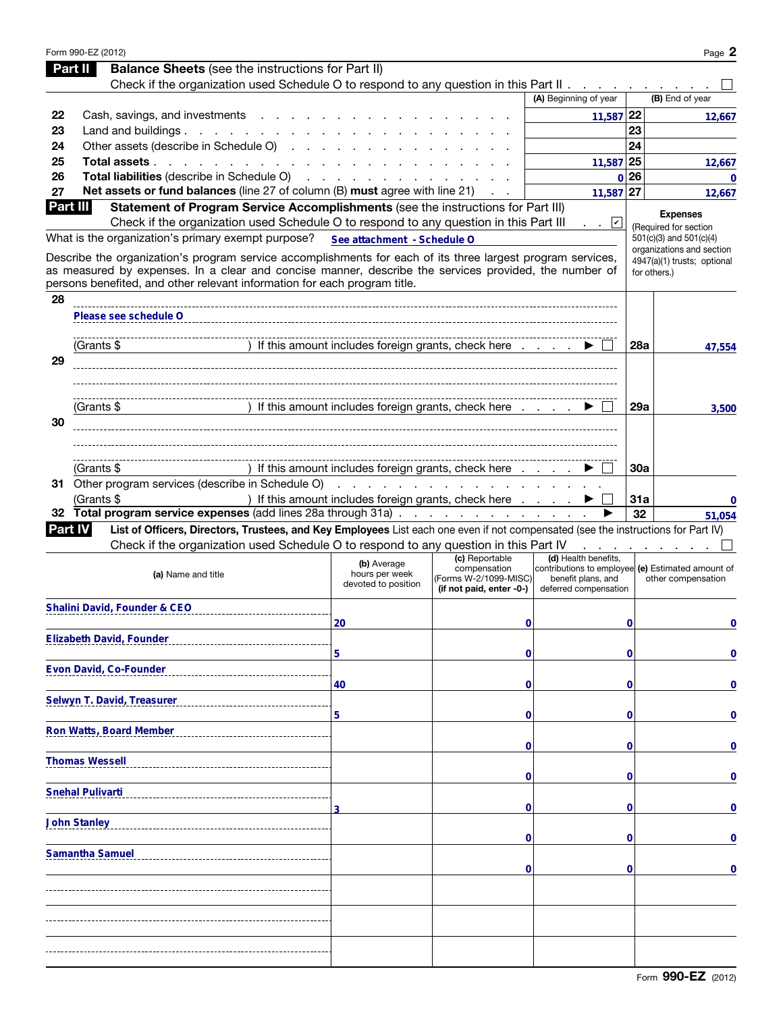|                | Form 990-EZ (2012)                                                                                                                                                                                                                                                                                |                                                               |                                                                   |                                                                                                  |             | Page 2                                               |
|----------------|---------------------------------------------------------------------------------------------------------------------------------------------------------------------------------------------------------------------------------------------------------------------------------------------------|---------------------------------------------------------------|-------------------------------------------------------------------|--------------------------------------------------------------------------------------------------|-------------|------------------------------------------------------|
| Part II        | <b>Balance Sheets</b> (see the instructions for Part II)                                                                                                                                                                                                                                          |                                                               |                                                                   |                                                                                                  |             |                                                      |
|                | Check if the organization used Schedule O to respond to any question in this Part II                                                                                                                                                                                                              |                                                               |                                                                   |                                                                                                  |             |                                                      |
|                |                                                                                                                                                                                                                                                                                                   |                                                               |                                                                   | (A) Beginning of year                                                                            |             | (B) End of year                                      |
| 22             | Cash, savings, and investments                                                                                                                                                                                                                                                                    |                                                               |                                                                   | 11,587 22                                                                                        |             | 12,667                                               |
| 23             | Land and buildings. $\ldots$                                                                                                                                                                                                                                                                      |                                                               |                                                                   |                                                                                                  | 23          |                                                      |
| 24             | Other assets (describe in Schedule O)                                                                                                                                                                                                                                                             |                                                               |                                                                   |                                                                                                  | 24          |                                                      |
| 25             | Total assets                                                                                                                                                                                                                                                                                      |                                                               |                                                                   | 11,587 25                                                                                        |             | 12,667                                               |
| 26             | Total liabilities (describe in Schedule O)                                                                                                                                                                                                                                                        | and a straight and                                            |                                                                   |                                                                                                  | 0 26        | 0                                                    |
| 27             | Net assets or fund balances (line 27 of column (B) must agree with line 21)                                                                                                                                                                                                                       |                                                               |                                                                   | 11.587                                                                                           | 27          | 12,667                                               |
| Part III       | Statement of Program Service Accomplishments (see the instructions for Part III)                                                                                                                                                                                                                  |                                                               |                                                                   |                                                                                                  |             | <b>Expenses</b>                                      |
|                | Check if the organization used Schedule O to respond to any question in this Part III                                                                                                                                                                                                             |                                                               |                                                                   | . . <u>v</u>                                                                                     |             | (Required for section                                |
|                | What is the organization's primary exempt purpose?                                                                                                                                                                                                                                                | See attachment - Schedule O                                   |                                                                   |                                                                                                  |             | 501(c)(3) and 501(c)(4)<br>organizations and section |
|                | Describe the organization's program service accomplishments for each of its three largest program services,<br>as measured by expenses. In a clear and concise manner, describe the services provided, the number of<br>persons benefited, and other relevant information for each program title. |                                                               |                                                                   |                                                                                                  |             | 4947(a)(1) trusts; optional<br>for others.)          |
| 28             |                                                                                                                                                                                                                                                                                                   |                                                               |                                                                   |                                                                                                  |             |                                                      |
|                | Please see schedule O                                                                                                                                                                                                                                                                             |                                                               |                                                                   |                                                                                                  |             |                                                      |
|                | (Grants \$                                                                                                                                                                                                                                                                                        | ) If this amount includes foreign grants, check here          |                                                                   |                                                                                                  | 28a         | 47,554                                               |
| 29             |                                                                                                                                                                                                                                                                                                   |                                                               |                                                                   |                                                                                                  |             |                                                      |
|                |                                                                                                                                                                                                                                                                                                   |                                                               |                                                                   |                                                                                                  |             |                                                      |
| 30             | (Grants \$                                                                                                                                                                                                                                                                                        | ) If this amount includes foreign grants, check here          |                                                                   |                                                                                                  | 29a         | 3.500                                                |
|                |                                                                                                                                                                                                                                                                                                   |                                                               |                                                                   |                                                                                                  |             |                                                      |
|                | (Grants \$                                                                                                                                                                                                                                                                                        | ) If this amount includes foreign grants, check here $\ldots$ |                                                                   |                                                                                                  | <b>30a</b>  |                                                      |
|                | 31 Other program services (describe in Schedule O)                                                                                                                                                                                                                                                |                                                               | .                                                                 |                                                                                                  |             |                                                      |
|                | (Grants \$                                                                                                                                                                                                                                                                                        | ) If this amount includes foreign grants, check here          |                                                                   |                                                                                                  | 31a         | 0                                                    |
|                | 32 Total program service expenses (add lines 28a through 31a)                                                                                                                                                                                                                                     |                                                               |                                                                   |                                                                                                  | 32          | 51,054                                               |
| <b>Part IV</b> | List of Officers, Directors, Trustees, and Key Employees List each one even if not compensated (see the instructions for Part IV)                                                                                                                                                                 |                                                               |                                                                   |                                                                                                  |             |                                                      |
|                | Check if the organization used Schedule O to respond to any question in this Part IV                                                                                                                                                                                                              |                                                               |                                                                   |                                                                                                  |             |                                                      |
|                |                                                                                                                                                                                                                                                                                                   | (b) Average                                                   | (c) Reportable                                                    | (d) Health benefits,                                                                             |             |                                                      |
|                | (a) Name and title                                                                                                                                                                                                                                                                                | hours per week<br>devoted to position                         | compensation<br>(Forms W-2/1099-MISC)<br>(if not paid, enter -0-) | contributions to employee (e) Estimated amount of<br>benefit plans, and<br>deferred compensation |             | other compensation                                   |
|                | <b>Shalini David, Founder &amp; CEO</b>                                                                                                                                                                                                                                                           |                                                               |                                                                   |                                                                                                  |             |                                                      |
|                |                                                                                                                                                                                                                                                                                                   | 20                                                            | 0                                                                 |                                                                                                  | 0           | 0                                                    |
|                | <b>Elizabeth David, Founder</b>                                                                                                                                                                                                                                                                   | 5                                                             | 0                                                                 |                                                                                                  | 0           | 0                                                    |
|                | Evon David, Co-Founder                                                                                                                                                                                                                                                                            |                                                               |                                                                   |                                                                                                  |             |                                                      |
|                |                                                                                                                                                                                                                                                                                                   | 40                                                            | 0                                                                 |                                                                                                  | 0           | 0                                                    |
|                | Selwyn T. David, Treasurer                                                                                                                                                                                                                                                                        |                                                               |                                                                   |                                                                                                  |             |                                                      |
|                |                                                                                                                                                                                                                                                                                                   | 5                                                             | 0                                                                 |                                                                                                  | 0           | 0                                                    |
|                | Ron Watts, Board Member                                                                                                                                                                                                                                                                           |                                                               | 0                                                                 |                                                                                                  | 0           | 0                                                    |
|                | <b>Thomas Wessell</b>                                                                                                                                                                                                                                                                             |                                                               |                                                                   |                                                                                                  |             |                                                      |
|                |                                                                                                                                                                                                                                                                                                   |                                                               | 0                                                                 |                                                                                                  | 0           | 0                                                    |
|                | <b>Snehal Pulivarti</b>                                                                                                                                                                                                                                                                           |                                                               |                                                                   |                                                                                                  |             |                                                      |
|                | <b>John Stanley</b>                                                                                                                                                                                                                                                                               |                                                               | 0                                                                 |                                                                                                  | 0           | 0                                                    |
|                |                                                                                                                                                                                                                                                                                                   |                                                               | 0                                                                 |                                                                                                  | 0           | 0                                                    |
|                | <b>Samantha Samuel</b>                                                                                                                                                                                                                                                                            |                                                               | 0                                                                 |                                                                                                  | $\mathbf 0$ | 0                                                    |
|                |                                                                                                                                                                                                                                                                                                   |                                                               |                                                                   |                                                                                                  |             |                                                      |
|                |                                                                                                                                                                                                                                                                                                   |                                                               |                                                                   |                                                                                                  |             |                                                      |
|                |                                                                                                                                                                                                                                                                                                   |                                                               |                                                                   |                                                                                                  |             |                                                      |
|                |                                                                                                                                                                                                                                                                                                   |                                                               |                                                                   |                                                                                                  |             |                                                      |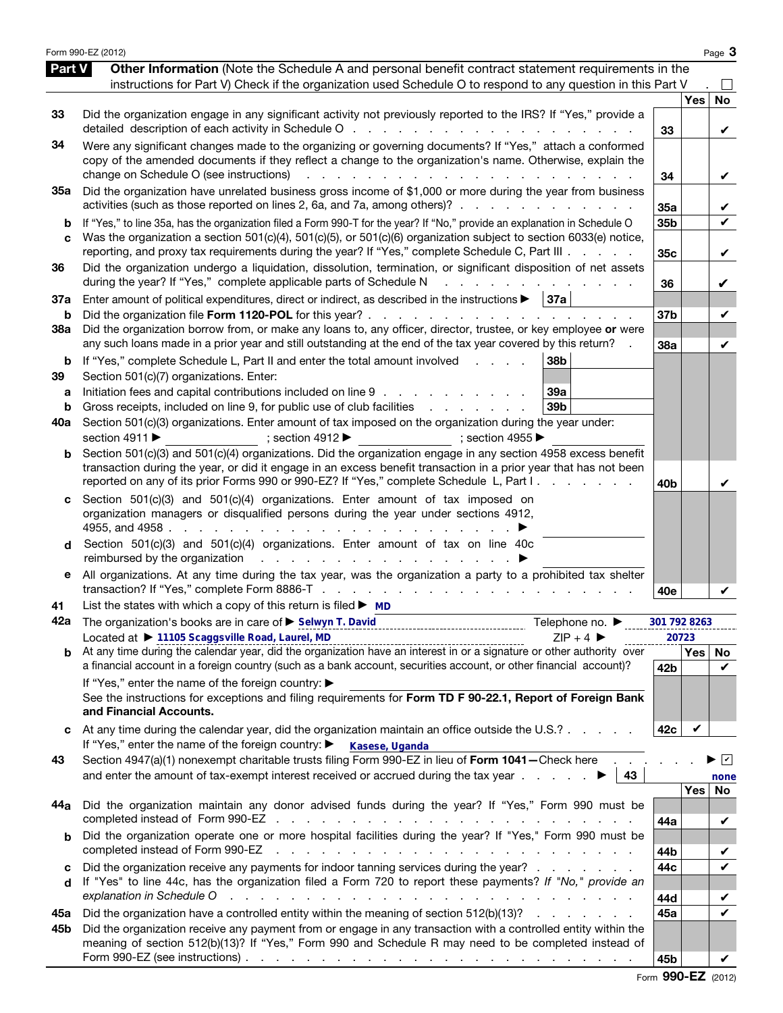|                          | Form 990-EZ (2012)                                                                                                                                                                                                                                                                                                                                                                                                                                                                                                                          |                        |            | Page 3             |
|--------------------------|---------------------------------------------------------------------------------------------------------------------------------------------------------------------------------------------------------------------------------------------------------------------------------------------------------------------------------------------------------------------------------------------------------------------------------------------------------------------------------------------------------------------------------------------|------------------------|------------|--------------------|
| Part V                   | Other Information (Note the Schedule A and personal benefit contract statement requirements in the<br>instructions for Part V) Check if the organization used Schedule O to respond to any question in this Part V                                                                                                                                                                                                                                                                                                                          |                        |            |                    |
| 33                       | Did the organization engage in any significant activity not previously reported to the IRS? If "Yes," provide a                                                                                                                                                                                                                                                                                                                                                                                                                             | 33                     | <b>Yes</b> | No<br>V            |
| 34                       | Were any significant changes made to the organizing or governing documents? If "Yes," attach a conformed<br>copy of the amended documents if they reflect a change to the organization's name. Otherwise, explain the<br>change on Schedule O (see instructions)                                                                                                                                                                                                                                                                            | 34                     |            | V                  |
| 35a                      | Did the organization have unrelated business gross income of \$1,000 or more during the year from business<br>activities (such as those reported on lines 2, 6a, and 7a, among others)?                                                                                                                                                                                                                                                                                                                                                     | 35a                    |            | V                  |
| b<br>C                   | If "Yes," to line 35a, has the organization filed a Form 990-T for the year? If "No," provide an explanation in Schedule O<br>Was the organization a section 501(c)(4), 501(c)(5), or 501(c)(6) organization subject to section 6033(e) notice,<br>reporting, and proxy tax requirements during the year? If "Yes," complete Schedule C, Part III                                                                                                                                                                                           | 35b<br>35 <sub>c</sub> |            | $\checkmark$<br>V  |
| 36                       | Did the organization undergo a liquidation, dissolution, termination, or significant disposition of net assets<br>during the year? If "Yes," complete applicable parts of Schedule N<br>and a strain and a strain and                                                                                                                                                                                                                                                                                                                       | 36                     |            | V                  |
| 37a<br>b                 | Enter amount of political expenditures, direct or indirect, as described in the instructions $\blacktriangleright$   37a                                                                                                                                                                                                                                                                                                                                                                                                                    | 37b                    |            | V                  |
| 38a                      | Did the organization borrow from, or make any loans to, any officer, director, trustee, or key employee or were<br>any such loans made in a prior year and still outstanding at the end of the tax year covered by this return?                                                                                                                                                                                                                                                                                                             | 38a                    |            | V                  |
| b<br>39<br>а<br>b<br>40a | If "Yes," complete Schedule L, Part II and enter the total amount involved<br>38 <sub>b</sub><br><b>Contractor</b><br>Section 501(c)(7) organizations. Enter:<br>Initiation fees and capital contributions included on line 9<br>39a<br>Gross receipts, included on line 9, for public use of club facilities exercises and contact the Gross receipts, included on line 9, for public use of club facilities<br>39 <sub>b</sub><br>Section 501(c)(3) organizations. Enter amount of tax imposed on the organization during the year under: |                        |            |                    |
| b                        | section 4911 ▶<br>; section $4912 \blacktriangleright$<br>$\Rightarrow$ ; section 4955<br>Section 501(c)(3) and 501(c)(4) organizations. Did the organization engage in any section 4958 excess benefit<br>transaction during the year, or did it engage in an excess benefit transaction in a prior year that has not been<br>reported on any of its prior Forms 990 or 990-EZ? If "Yes," complete Schedule L, Part I.                                                                                                                     | 40b                    |            | V                  |
| d                        | Section $501(c)(3)$ and $501(c)(4)$ organizations. Enter amount of tax imposed on<br>organization managers or disqualified persons during the year under sections 4912,<br>Section 501(c)(3) and 501(c)(4) organizations. Enter amount of tax on line 40c<br>reimbursed by the organization results in the state of the organization results in the state of the state of the state of the state of the state of the state of the state of the state of the state of the state of the state                                                 |                        |            |                    |
| е                        | All organizations. At any time during the tax year, was the organization a party to a prohibited tax shelter                                                                                                                                                                                                                                                                                                                                                                                                                                | 40e                    |            |                    |
| 41<br>42a                | List the states with which a copy of this return is filed $\triangleright$ MD<br>The organization's books are in care of ▶ Selwyn T. David<br>Telephone no. ▶<br>Located at ▶ 11105 Scaggsville Road, Laurel, MD<br>$ZIP + 4$                                                                                                                                                                                                                                                                                                               | 301 792 8263           | 20723      |                    |
|                          | a financial account in a foreign country (such as a bank account, securities account, or other financial account)?                                                                                                                                                                                                                                                                                                                                                                                                                          | 42b                    |            | Yes   No<br>V      |
|                          | If "Yes," enter the name of the foreign country: ▶<br>See the instructions for exceptions and filing requirements for Form TD F 90-22.1, Report of Foreign Bank<br>and Financial Accounts.                                                                                                                                                                                                                                                                                                                                                  |                        |            |                    |
|                          | At any time during the calendar year, did the organization maintain an office outside the U.S.?<br>If "Yes," enter the name of the foreign country: ▶<br>Kasese, Uganda                                                                                                                                                                                                                                                                                                                                                                     | 42c                    | V          |                    |
| 43                       | Section 4947(a)(1) nonexempt charitable trusts filing Form 990-EZ in lieu of Form 1041-Check here<br>43                                                                                                                                                                                                                                                                                                                                                                                                                                     |                        |            | $\sqrt{ }$<br>none |
| 44a                      | Did the organization maintain any donor advised funds during the year? If "Yes," Form 990 must be                                                                                                                                                                                                                                                                                                                                                                                                                                           | 44a                    | Yes        | No<br>V            |
|                          | Did the organization operate one or more hospital facilities during the year? If "Yes," Form 990 must be<br>completed instead of Form 990-EZ                                                                                                                                                                                                                                                                                                                                                                                                | 44b                    |            | V                  |
| c<br>d                   | Did the organization receive any payments for indoor tanning services during the year?<br>If "Yes" to line 44c, has the organization filed a Form 720 to report these payments? If "No," provide an<br>explanation in Schedule O<br>والمتعاون والمتعاون والمتعاون والمتعاونة والمتعاونة والمتعاونة والمتعاونة والمتعاونة والمتعاونة                                                                                                                                                                                                         | 44c<br>44d             |            | V<br>V             |
| 45а                      | Did the organization have a controlled entity within the meaning of section 512(b)(13)?                                                                                                                                                                                                                                                                                                                                                                                                                                                     | 45a                    |            | $\checkmark$       |
| 45b                      | Did the organization receive any payment from or engage in any transaction with a controlled entity within the<br>meaning of section 512(b)(13)? If "Yes," Form 990 and Schedule R may need to be completed instead of<br>Form 990-EZ (see instructions) $\ldots$ $\ldots$ $\ldots$ $\ldots$ $\ldots$ $\ldots$ $\ldots$ $\ldots$ $\ldots$ $\ldots$ $\ldots$                                                                                                                                                                                 | 45b                    |            |                    |